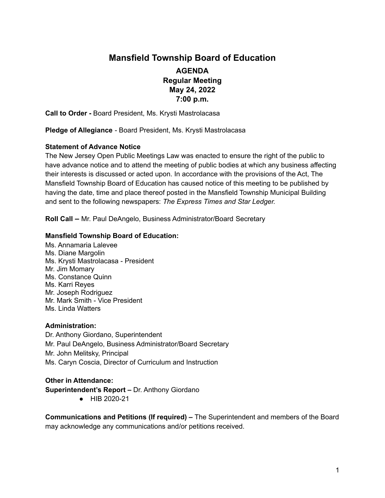# **Mansfield Township Board of Education AGENDA Regular Meeting May 24, 2022 7:00 p.m.**

**Call to Order -** Board President, Ms. Krysti Mastrolacasa

**Pledge of Allegiance** - Board President, Ms. Krysti Mastrolacasa

### **Statement of Advance Notice**

The New Jersey Open Public Meetings Law was enacted to ensure the right of the public to have advance notice and to attend the meeting of public bodies at which any business affecting their interests is discussed or acted upon. In accordance with the provisions of the Act, The Mansfield Township Board of Education has caused notice of this meeting to be published by having the date, time and place thereof posted in the Mansfield Township Municipal Building and sent to the following newspapers: *The Express Times and Star Ledger.*

**Roll Call –** Mr. Paul DeAngelo, Business Administrator/Board Secretary

### **Mansfield Township Board of Education:**

Ms. Annamaria Lalevee Ms. Diane Margolin Ms. Krysti Mastrolacasa - President Mr. Jim Momary Ms. Constance Quinn Ms. Karri Reyes Mr. Joseph Rodriguez Mr. Mark Smith - Vice President Ms. Linda Watters

#### **Administration:**

Dr. Anthony Giordano, Superintendent Mr. Paul DeAngelo, Business Administrator/Board Secretary Mr. John Melitsky, Principal Ms. Caryn Coscia, Director of Curriculum and Instruction

**Other in Attendance: Superintendent's Report –** Dr. Anthony Giordano

● HIB 2020-21

**Communications and Petitions (If required) –** The Superintendent and members of the Board may acknowledge any communications and/or petitions received.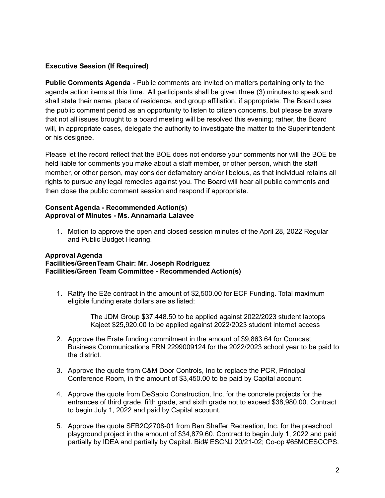# **Executive Session (If Required)**

**Public Comments Agenda** - Public comments are invited on matters pertaining only to the agenda action items at this time. All participants shall be given three (3) minutes to speak and shall state their name, place of residence, and group affiliation, if appropriate. The Board uses the public comment period as an opportunity to listen to citizen concerns, but please be aware that not all issues brought to a board meeting will be resolved this evening; rather, the Board will, in appropriate cases, delegate the authority to investigate the matter to the Superintendent or his designee.

Please let the record reflect that the BOE does not endorse your comments nor will the BOE be held liable for comments you make about a staff member, or other person, which the staff member, or other person, may consider defamatory and/or libelous, as that individual retains all rights to pursue any legal remedies against you. The Board will hear all public comments and then close the public comment session and respond if appropriate.

#### **Consent Agenda - Recommended Action(s) Approval of Minutes - Ms. Annamaria Lalavee**

1. Motion to approve the open and closed session minutes of the April 28, 2022 Regular and Public Budget Hearing.

# **Approval Agenda**

# **Facilities/GreenTeam Chair: Mr. Joseph Rodriguez Facilities/Green Team Committee - Recommended Action(s)**

1. Ratify the E2e contract in the amount of \$2,500.00 for ECF Funding. Total maximum eligible funding erate dollars are as listed:

> The JDM Group \$37,448.50 to be applied against 2022/2023 student laptops Kajeet \$25,920.00 to be applied against 2022/2023 student internet access

- 2. Approve the Erate funding commitment in the amount of \$9,863.64 for Comcast Business Communications FRN 2299009124 for the 2022/2023 school year to be paid to the district.
- 3. Approve the quote from C&M Door Controls, Inc to replace the PCR, Principal Conference Room, in the amount of \$3,450.00 to be paid by Capital account.
- 4. Approve the quote from DeSapio Construction, Inc. for the concrete projects for the entrances of third grade, fifth grade, and sixth grade not to exceed \$38,980.00. Contract to begin July 1, 2022 and paid by Capital account.
- 5. Approve the quote SFB2Q2708-01 from Ben Shaffer Recreation, Inc. for the preschool playground project in the amount of \$34,879.60. Contract to begin July 1, 2022 and paid partially by IDEA and partially by Capital. Bid# ESCNJ 20/21-02; Co-op #65MCESCCPS.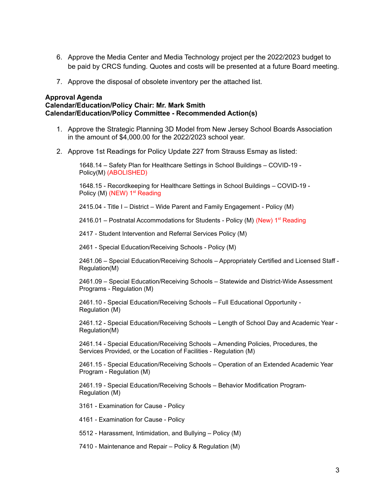- 6. Approve the Media Center and Media Technology project per the 2022/2023 budget to be paid by CRCS funding. Quotes and costs will be presented at a future Board meeting.
- 7. Approve the disposal of obsolete inventory per the attached list.

#### **Approval Agenda**

**Calendar/Education/Policy Chair: Mr. Mark Smith Calendar/Education/Policy Committee - Recommended Action(s)**

- 1. Approve the Strategic Planning 3D Model from New Jersey School Boards Association in the amount of \$4,000.00 for the 2022/2023 school year.
- 2. Approve 1st Readings for Policy Update 227 from Strauss Esmay as listed:

1648.14 – Safety Plan for Healthcare Settings in School Buildings – COVID-19 - Policy(M) (ABOLISHED)

1648.15 - Recordkeeping for Healthcare Settings in School Buildings – COVID-19 - Policy (M) (NEW) 1<sup>st</sup> Reading

2415.04 - Title I – District – Wide Parent and Family Engagement - Policy (M)

2416.01 – Postnatal Accommodations for Students - Policy (M) (New) 1<sup>st</sup> Reading

2417 - Student Intervention and Referral Services Policy (M)

2461 - Special Education/Receiving Schools - Policy (M)

2461.06 – Special Education/Receiving Schools – Appropriately Certified and Licensed Staff - Regulation(M)

2461.09 – Special Education/Receiving Schools – Statewide and District-Wide Assessment Programs - Regulation (M)

2461.10 - Special Education/Receiving Schools – Full Educational Opportunity - Regulation (M)

2461.12 - Special Education/Receiving Schools – Length of School Day and Academic Year - Regulation(M)

2461.14 - Special Education/Receiving Schools – Amending Policies, Procedures, the Services Provided, or the Location of Facilities - Regulation (M)

2461.15 - Special Education/Receiving Schools – Operation of an Extended Academic Year Program - Regulation (M)

2461.19 - Special Education/Receiving Schools – Behavior Modification Program-Regulation (M)

3161 - Examination for Cause - Policy

4161 - Examination for Cause - Policy

5512 - Harassment, Intimidation, and Bullying – Policy (M)

7410 - Maintenance and Repair – Policy & Regulation (M)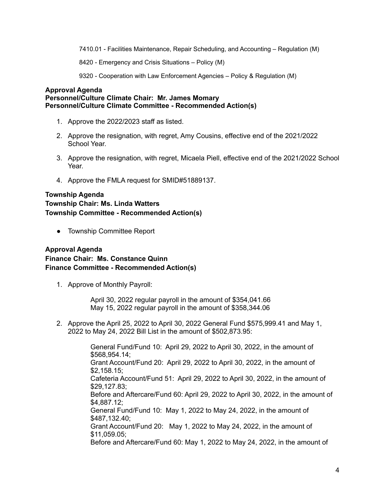7410.01 - Facilities Maintenance, Repair Scheduling, and Accounting – Regulation (M)

8420 - Emergency and Crisis Situations – Policy (M)

9320 - Cooperation with Law Enforcement Agencies – Policy & Regulation (M)

#### **Approval Agenda Personnel/Culture Climate Chair: Mr. James Momary Personnel/Culture Climate Committee - Recommended Action(s)**

- 1. Approve the 2022/2023 staff as listed.
- 2. Approve the resignation, with regret, Amy Cousins, effective end of the 2021/2022 School Year.
- 3. Approve the resignation, with regret, Micaela Piell, effective end of the 2021/2022 School Year.
- 4. Approve the FMLA request for SMID#51889137.

# **Township Agenda Township Chair: Ms. Linda Watters Township Committee - Recommended Action(s)**

● Township Committee Report

# **Approval Agenda Finance Chair: Ms. Constance Quinn Finance Committee - Recommended Action(s)**

1. Approve of Monthly Payroll:

April 30, 2022 regular payroll in the amount of \$354,041.66 May 15, 2022 regular payroll in the amount of \$358,344.06

2. Approve the April 25, 2022 to April 30, 2022 General Fund \$575,999.41 and May 1, 2022 to May 24, 2022 Bill List in the amount of \$502,873.95:

> General Fund/Fund 10: April 29, 2022 to April 30, 2022, in the amount of \$568,954.14; Grant Account/Fund 20: April 29, 2022 to April 30, 2022, in the amount of \$2,158.15; Cafeteria Account/Fund 51: April 29, 2022 to April 30, 2022, in the amount of \$29,127.83; Before and Aftercare/Fund 60: April 29, 2022 to April 30, 2022, in the amount of \$4,887.12; General Fund/Fund 10: May 1, 2022 to May 24, 2022, in the amount of \$487,132.40; Grant Account/Fund 20: May 1, 2022 to May 24, 2022, in the amount of \$11,059.05; Before and Aftercare/Fund 60: May 1, 2022 to May 24, 2022, in the amount of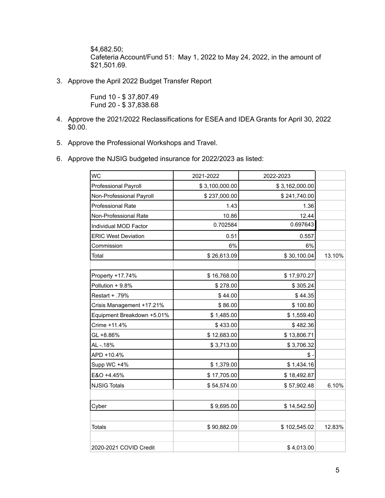\$4,682.50; Cafeteria Account/Fund 51: May 1, 2022 to May 24, 2022, in the amount of \$21,501.69.

3. Approve the April 2022 Budget Transfer Report

Fund 10 - \$ 37,807.49 Fund 20 - \$ 37,838.68

- 4. Approve the 2021/2022 Reclassifications for ESEA and IDEA Grants for April 30, 2022 \$0.00.
- 5. Approve the Professional Workshops and Travel.
- 6. Approve the NJSIG budgeted insurance for 2022/2023 as listed:

| <b>WC</b>                  | 2021-2022      | 2022-2023      |        |
|----------------------------|----------------|----------------|--------|
| Professional Payroll       | \$3,100,000.00 | \$3,162,000.00 |        |
| Non-Professional Payroll   | \$237,000.00   | \$241,740.00   |        |
| Professional Rate          | 1.43           | 1.36           |        |
| Non-Professional Rate      | 10.86          | 12.44          |        |
| Individual MOD Factor      | 0.702584       | 0.697643       |        |
| <b>ERIC West Deviation</b> | 0.51           | 0.557          |        |
| Commission                 | 6%             | 6%             |        |
| Total                      | \$26,613.09    | \$30,100.04    | 13.10% |
|                            |                |                |        |
| Property +17.74%           | \$16,768.00    | \$17,970.27    |        |
| Pollution + 9.8%           | \$278.00       | \$305.24       |        |
| Restart + .79%             | \$44.00        | \$44.35        |        |
| Crisis Management +17.21%  | \$86.00        | \$100.80       |        |
| Equipment Breakdown +5.01% | \$1,485.00     | \$1,559.40     |        |
| Crime +11.4%               | \$433.00       | \$482.36       |        |
| GL +8.86%                  | \$12,683.00    | \$13,806.71    |        |
| AL-.18%                    | \$3,713.00     | \$3,706.32     |        |
| APD +10.4%                 |                | \$             |        |
| Supp WC +4%                | \$1,379.00     | \$1,434.16     |        |
| E&O +4.45%                 | \$17,705.00    | \$18,492.87    |        |
| <b>NJSIG Totals</b>        | \$54,574.00    | \$57,902.48    | 6.10%  |
|                            |                |                |        |
| Cyber                      | \$9,695.00     | \$14,542.50    |        |
| <b>Totals</b>              | \$90,882.09    | \$102,545.02   | 12.83% |
|                            |                |                |        |
| 2020-2021 COVID Credit     |                | \$4,013.00     |        |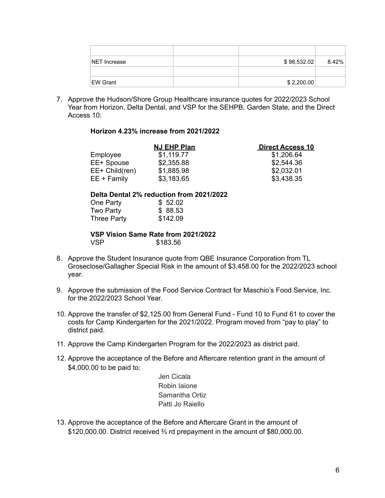| <b>NET Increase</b> | \$98,532.02 | $8.42\%$ |
|---------------------|-------------|----------|
|                     |             |          |
| EW Grant            | \$2,200.00  |          |

7. Approve the Hudson/Shore Group Healthcare insurance quotes for 2022/2023 School Year from Horizon, Delta Dental, and VSP for the SEHPB, Garden State, and the Direct Access 10:

#### **Horizon 4.23% increase from 2021/2022**

| NJ EHP Plan | <b>Direct Access 10</b> |  |
|-------------|-------------------------|--|
| \$1,119.77  | \$1,206.64              |  |
| \$2,355.88  | \$2,544.36              |  |
| \$1,885.98  | \$2,032.01              |  |
| \$3,183.65  | \$3,438.35              |  |
|             |                         |  |

#### **Delta Dental 2% reduction from 2021/2022**

| One Party          | \$52.02  |
|--------------------|----------|
| Two Party          | \$88.53  |
| <b>Three Party</b> | \$142.09 |

#### **VSP Vision Same Rate from 2021/2022** \$183.56

- 8. Approve the Student Insurance quote from QBE Insurance Corporation from TL Groseclose/Gallagher Special Risk in the amount of \$3,458.00 for the 2022/2023 school year.
- 9. Approve the submission of the Food Service Contract for Maschio's Food Service, Inc. for the 2022/2023 School Year.
- 10. Approve the transfer of \$2,125.00 from General Fund Fund 10 to Fund 61 to cover the costs for Camp Kindergarten for the 2021/2022. Program moved from "pay to play" to district paid.
- 11. Approve the Camp Kindergarten Program for the 2022/2023 as district paid.
- 12. Approve the acceptance of the Before and Aftercare retention grant in the amount of \$4,000.00 to be paid to:

Jen Cicala Robin Iaione Samantha Ortiz Patti Jo Raiello

13. Approve the acceptance of the Before and Aftercare Grant in the amount of \$120,000.00. District received ⅔ rd prepayment in the amount of \$80,000.00.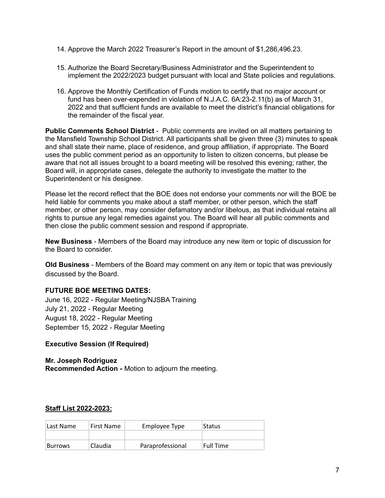- 14. Approve the March 2022 Treasurer's Report in the amount of \$1,286,496.23.
- 15. Authorize the Board Secretary/Business Administrator and the Superintendent to implement the 2022/2023 budget pursuant with local and State policies and regulations.
- 16. Approve the Monthly Certification of Funds motion to certify that no major account or fund has been over-expended in violation of N.J.A.C. 6A:23-2.11(b) as of March 31, 2022 and that sufficient funds are available to meet the district's financial obligations for the remainder of the fiscal year.

**Public Comments School District** - Public comments are invited on all matters pertaining to the Mansfield Township School District. All participants shall be given three (3) minutes to speak and shall state their name, place of residence, and group affiliation, if appropriate. The Board uses the public comment period as an opportunity to listen to citizen concerns, but please be aware that not all issues brought to a board meeting will be resolved this evening; rather, the Board will, in appropriate cases, delegate the authority to investigate the matter to the Superintendent or his designee.

Please let the record reflect that the BOE does not endorse your comments nor will the BOE be held liable for comments you make about a staff member, or other person, which the staff member, or other person, may consider defamatory and/or libelous, as that individual retains all rights to pursue any legal remedies against you. The Board will hear all public comments and then close the public comment session and respond if appropriate.

**New Business** - Members of the Board may introduce any new item or topic of discussion for the Board to consider.

**Old Business** - Members of the Board may comment on any item or topic that was previously discussed by the Board.

# **FUTURE BOE MEETING DATES:**

June 16, 2022 - Regular Meeting/NJSBA Training July 21, 2022 - Regular Meeting August 18, 2022 - Regular Meeting September 15, 2022 - Regular Meeting

# **Executive Session (If Required)**

**Mr. Joseph Rodriguez Recommended Action -** Motion to adjourn the meeting.

# **Staff List 2022-2023:**

| Last Name      | <b>First Name</b> | Employee Type    | Status     |
|----------------|-------------------|------------------|------------|
|                |                   |                  |            |
| <b>Burrows</b> | Claudia           | Paraprofessional | 'Full Time |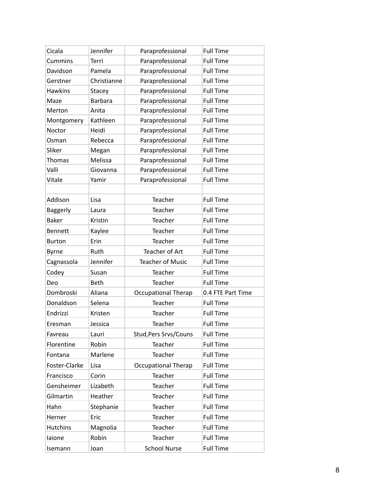| Cicala          | Jennifer       | Paraprofessional           | <b>Full Time</b>  |
|-----------------|----------------|----------------------------|-------------------|
| Cummins         | Terri          | Paraprofessional           | <b>Full Time</b>  |
| Davidson        | Pamela         | Paraprofessional           | <b>Full Time</b>  |
| Gerstner        | Christianne    | Paraprofessional           | <b>Full Time</b>  |
| <b>Hawkins</b>  | Stacey         | Paraprofessional           | <b>Full Time</b>  |
| Maze            | <b>Barbara</b> | Paraprofessional           | <b>Full Time</b>  |
| Merton          | Anita          | Paraprofessional           | <b>Full Time</b>  |
| Montgomery      | Kathleen       | Paraprofessional           | <b>Full Time</b>  |
| Noctor          | Heidi          | Paraprofessional           | <b>Full Time</b>  |
| Osman           | Rebecca        | Paraprofessional           | <b>Full Time</b>  |
| Sliker          | Megan          | Paraprofessional           | <b>Full Time</b>  |
| Thomas          | Melissa        | Paraprofessional           | <b>Full Time</b>  |
| Valli           | Giovanna       | Paraprofessional           | <b>Full Time</b>  |
| Vitale          | Yamir          | Paraprofessional           | <b>Full Time</b>  |
|                 |                |                            |                   |
| Addison         | Lisa           | Teacher                    | <b>Full Time</b>  |
| Baggerly        | Laura          | Teacher                    | <b>Full Time</b>  |
| <b>Baker</b>    | Kristin        | Teacher                    | <b>Full Time</b>  |
| <b>Bennett</b>  | Kaylee         | Teacher                    | <b>Full Time</b>  |
| <b>Burton</b>   | Erin           | Teacher                    | <b>Full Time</b>  |
| <b>Byrne</b>    | Ruth           | <b>Teacher of Art</b>      | <b>Full Time</b>  |
| Cagnassola      | Jennifer       | <b>Teacher of Music</b>    | <b>Full Time</b>  |
| Codey           | Susan          | Teacher                    | <b>Full Time</b>  |
| Deo             | Beth           | Teacher                    | <b>Full Time</b>  |
| Dombroski       | Aliana         | <b>Occupational Therap</b> | 0.4 FTE Part Time |
| Donaldson       | Selena         | Teacher                    | <b>Full Time</b>  |
| Endrizzi        | Kristen        | Teacher                    | <b>Full Time</b>  |
| Eresman         | Jessica        | Teacher                    | <b>Full Time</b>  |
| Favreau         | Lauri          | Stud, Pers Srvs/Couns      | <b>Full Time</b>  |
| Florentine      | Robin          | Teacher                    | <b>Full Time</b>  |
| Fontana         | Marlene        | Teacher                    | <b>Full Time</b>  |
| Foster-Clarke   | Lisa           | <b>Occupational Therap</b> | <b>Full Time</b>  |
| Francisco       | Corin          | Teacher                    | <b>Full Time</b>  |
| Gensheimer      | Lizabeth       | Teacher                    | <b>Full Time</b>  |
| Gilmartin       | Heather        | Teacher                    | <b>Full Time</b>  |
| Hahn            | Stephanie      | Teacher                    | <b>Full Time</b>  |
| Herner          | Eric           | Teacher                    | <b>Full Time</b>  |
| <b>Hutchins</b> | Magnolia       | Teacher                    | <b>Full Time</b>  |
| laione          | Robin          | Teacher                    | <b>Full Time</b>  |
| Isemann         | Joan           | <b>School Nurse</b>        | <b>Full Time</b>  |
|                 |                |                            |                   |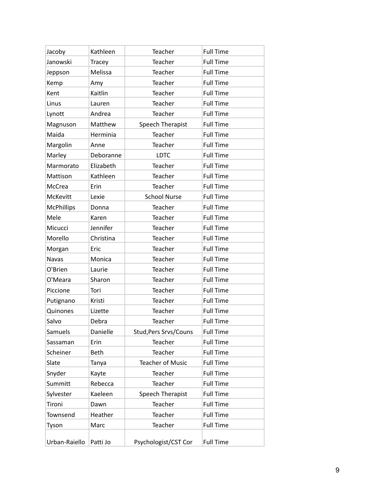| Jacoby            | Kathleen      | Teacher                      | <b>Full Time</b> |
|-------------------|---------------|------------------------------|------------------|
| Janowski          | <b>Tracey</b> | Teacher                      | <b>Full Time</b> |
| Jeppson           | Melissa       | Teacher                      | <b>Full Time</b> |
| Kemp              | Amy           | Teacher                      | <b>Full Time</b> |
| Kent              | Kaitlin       | Teacher                      | <b>Full Time</b> |
| Linus             | Lauren        | Teacher                      | <b>Full Time</b> |
| Lynott            | Andrea        | Teacher                      | <b>Full Time</b> |
| Magnuson          | Matthew       | Speech Therapist             | <b>Full Time</b> |
| Maida             | Herminia      | Teacher                      | <b>Full Time</b> |
| Margolin          | Anne          | Teacher                      | <b>Full Time</b> |
| Marley            | Deboranne     | <b>LDTC</b>                  | <b>Full Time</b> |
| Marmorato         | Elizabeth     | Teacher                      | <b>Full Time</b> |
| Mattison          | Kathleen      | Teacher                      | <b>Full Time</b> |
| McCrea            | Erin          | Teacher                      | <b>Full Time</b> |
| McKevitt          | Lexie         | <b>School Nurse</b>          | <b>Full Time</b> |
| <b>McPhillips</b> | Donna         | Teacher                      | <b>Full Time</b> |
| Mele              | Karen         | Teacher                      | <b>Full Time</b> |
| Micucci           | Jennifer      | Teacher                      | <b>Full Time</b> |
| Morello           | Christina     | Teacher                      | <b>Full Time</b> |
| Morgan            | Eric          | Teacher                      | <b>Full Time</b> |
| Navas             | Monica        | Teacher                      | <b>Full Time</b> |
| O'Brien           | Laurie        | Teacher                      | <b>Full Time</b> |
| O'Meara           | Sharon        | Teacher                      | <b>Full Time</b> |
| Piccione          | Tori          | Teacher                      | <b>Full Time</b> |
| Putignano         | Kristi        | Teacher                      | <b>Full Time</b> |
| Quinones          | Lizette       | Teacher                      | <b>Full Time</b> |
| Salvo             | Debra         | Teacher                      | <b>Full Time</b> |
| Samuels           | Danielle      | <b>Stud, Pers Srvs/Couns</b> | <b>Full Time</b> |
| Sassaman          | Erin          | Teacher                      | <b>Full Time</b> |
| Scheiner          | <b>Beth</b>   | Teacher                      | <b>Full Time</b> |
| Slate             | Tanya         | <b>Teacher of Music</b>      | <b>Full Time</b> |
| Snyder            | Kayte         | Teacher                      | <b>Full Time</b> |
| Summitt           | Rebecca       | Teacher                      | <b>Full Time</b> |
| Sylvester         | Kaeleen       | Speech Therapist             | <b>Full Time</b> |
| Tironi            | Dawn          | Teacher                      | <b>Full Time</b> |
| Townsend          | Heather       | Teacher                      | <b>Full Time</b> |
| Tyson             | Marc          | Teacher                      | <b>Full Time</b> |
| Urban-Raiello     | Patti Jo      | Psychologist/CST Cor         | <b>Full Time</b> |